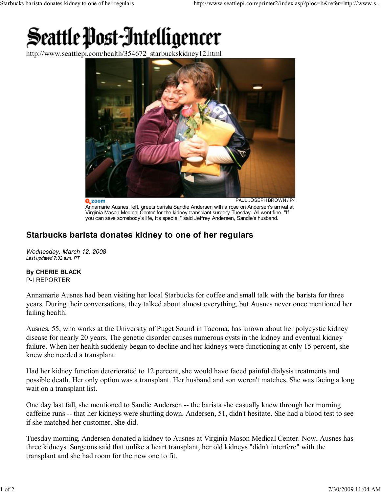## Seattle Post-Intelligencer

http://www.seattlepi.com/health/354672\_starbuckskidney12.html



 $2 zoom$ PAUL JOSEPH BROWN / P-I Annamarie Ausnes, left, greets barista Sandie Andersen with a rose on Andersen's arrival at Virginia Mason Medical Center for the kidney transplant surgery Tuesday. All went fine. "If you can save somebody's life, it's special," said Jeffrey Andersen, Sandie's husband.

## Starbucks barista donates kidney to one of her regulars

Wednesday, March 12, 2008 Last updated 7:32 a.m. PT

## By CHERIE BLACK

P-I REPORTER

Annamarie Ausnes had been visiting her local Starbucks for coffee and small talk with the barista for three years. During their conversations, they talked about almost everything, but Ausnes never once mentioned her failing health.

Ausnes, 55, who works at the University of Puget Sound in Tacoma, has known about her polycystic kidney disease for nearly 20 years. The genetic disorder causes numerous cysts in the kidney and eventual kidney failure. When her health suddenly began to decline and her kidneys were functioning at only 15 percent, she knew she needed a transplant.

Had her kidney function deteriorated to 12 percent, she would have faced painful dialysis treatments and possible death. Her only option was a transplant. Her husband and son weren't matches. She was facing a long wait on a transplant list.

One day last fall, she mentioned to Sandie Andersen -- the barista she casually knew through her morning caffeine runs -- that her kidneys were shutting down. Andersen, 51, didn't hesitate. She had a blood test to see if she matched her customer. She did.

Tuesday morning, Andersen donated a kidney to Ausnes at Virginia Mason Medical Center. Now, Ausnes has three kidneys. Surgeons said that unlike a heart transplant, her old kidneys "didn't interfere" with the transplant and she had room for the new one to fit.